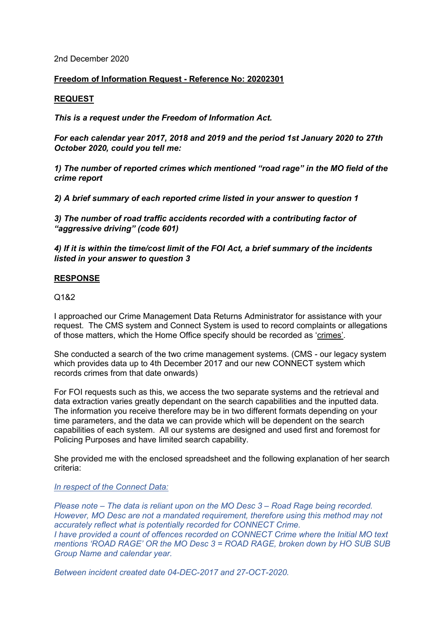2nd December 2020

## **Freedom of Information Request - Reference No: 20202301**

## **REQUEST**

*This is a request under the Freedom of Information Act.*

*For each calendar year 2017, 2018 and 2019 and the period 1st January 2020 to 27th October 2020, could you tell me:*

*1) The number of reported crimes which mentioned "road rage" in the MO field of the crime report*

*2) A brief summary of each reported crime listed in your answer to question 1*

*3) The number of road traffic accidents recorded with a contributing factor of "aggressive driving" (code 601)*

*4) If it is within the time/cost limit of the FOI Act, a brief summary of the incidents listed in your answer to question 3*

## **RESPONSE**

Q1&2

I approached our Crime Management Data Returns Administrator for assistance with your request. The CMS system and Connect System is used to record complaints or allegations of those matters, which the Home Office specify should be recorded as 'crimes'.

She conducted a search of the two crime management systems. (CMS - our legacy system which provides data up to 4th December 2017 and our new CONNECT system which records crimes from that date onwards)

For FOI requests such as this, we access the two separate systems and the retrieval and data extraction varies greatly dependant on the search capabilities and the inputted data. The information you receive therefore may be in two different formats depending on your time parameters, and the data we can provide which will be dependent on the search capabilities of each system. All our systems are designed and used first and foremost for Policing Purposes and have limited search capability.

She provided me with the enclosed spreadsheet and the following explanation of her search criteria:

## *In respect of the Connect Data:*

*Please note – The data is reliant upon on the MO Desc 3 – Road Rage being recorded. However, MO Desc are not a mandated requirement, therefore using this method may not accurately reflect what is potentially recorded for CONNECT Crime. I have provided a count of offences recorded on CONNECT Crime where the Initial MO text mentions 'ROAD RAGE' OR the MO Desc 3 = ROAD RAGE, broken down by HO SUB SUB Group Name and calendar year.*

*Between incident created date 04-DEC-2017 and 27-OCT-2020.*